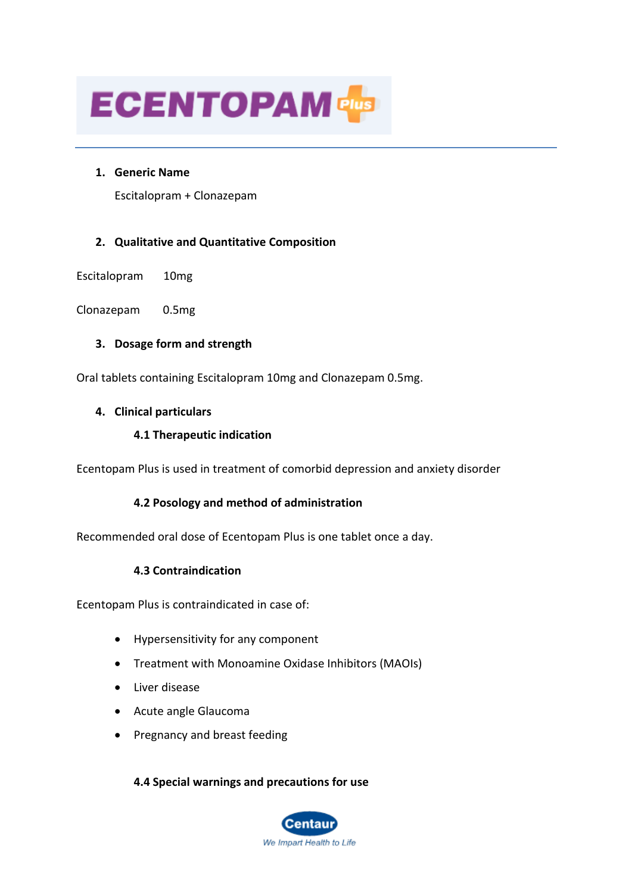

### **1. Generic Name**

Escitalopram + Clonazepam

# **2. Qualitative and Quantitative Composition**

Escitalopram 10mg

Clonazepam 0.5mg

# **3. Dosage form and strength**

Oral tablets containing Escitalopram 10mg and Clonazepam 0.5mg.

### **4. Clinical particulars**

# **4.1 Therapeutic indication**

Ecentopam Plus is used in treatment of comorbid depression and anxiety disorder

# **4.2 Posology and method of administration**

Recommended oral dose of Ecentopam Plus is one tablet once a day.

# **4.3 Contraindication**

Ecentopam Plus is contraindicated in case of:

- Hypersensitivity for any component
- Treatment with Monoamine Oxidase Inhibitors (MAOIs)
- Liver disease
- Acute angle Glaucoma
- Pregnancy and breast feeding

### **4.4 Special warnings and precautions for use**

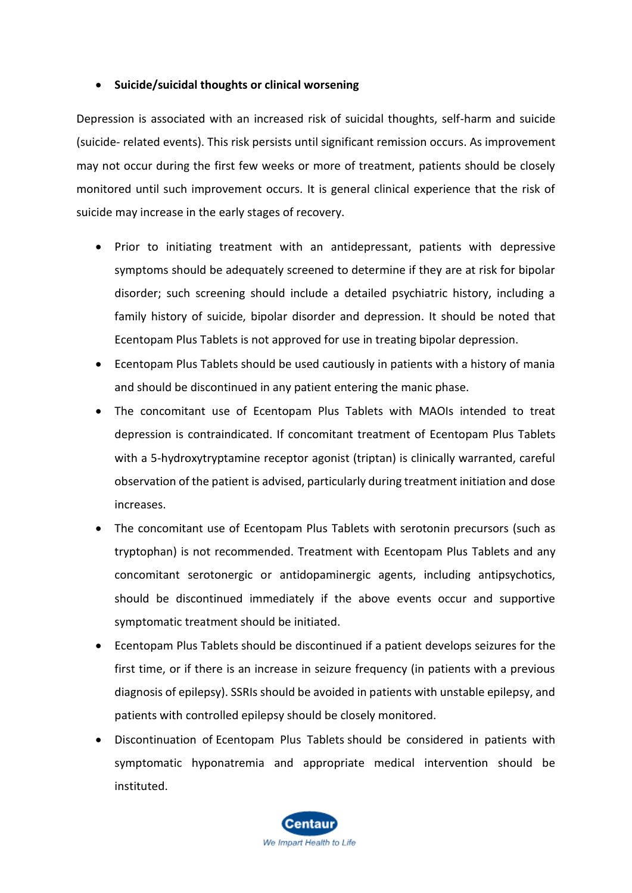# • **Suicide/suicidal thoughts or clinical worsening**

Depression is associated with an increased risk of suicidal thoughts, self-harm and suicide (suicide- related events). This risk persists until significant remission occurs. As improvement may not occur during the first few weeks or more of treatment, patients should be closely monitored until such improvement occurs. It is general clinical experience that the risk of suicide may increase in the early stages of recovery.

- Prior to initiating treatment with an antidepressant, patients with depressive symptoms should be adequately screened to determine if they are at risk for bipolar disorder; such screening should include a detailed psychiatric history, including a family history of suicide, bipolar disorder and depression. It should be noted that Ecentopam Plus Tablets is not approved for use in treating bipolar depression.
- Ecentopam Plus Tablets should be used cautiously in patients with a history of mania and should be discontinued in any patient entering the manic phase.
- The concomitant use of Ecentopam Plus Tablets with MAOIs intended to treat depression is contraindicated. If concomitant treatment of Ecentopam Plus Tablets with a 5-hydroxytryptamine receptor agonist (triptan) is clinically warranted, careful observation of the patient is advised, particularly during treatment initiation and dose increases.
- The concomitant use of Ecentopam Plus Tablets with serotonin precursors (such as tryptophan) is not recommended. Treatment with Ecentopam Plus Tablets and any concomitant serotonergic or antidopaminergic agents, including antipsychotics, should be discontinued immediately if the above events occur and supportive symptomatic treatment should be initiated.
- Ecentopam Plus Tablets should be discontinued if a patient develops seizures for the first time, or if there is an increase in seizure frequency (in patients with a previous diagnosis of epilepsy). SSRIs should be avoided in patients with unstable epilepsy, and patients with controlled epilepsy should be closely monitored.
- Discontinuation of Ecentopam Plus Tablets should be considered in patients with symptomatic hyponatremia and appropriate medical intervention should be instituted.

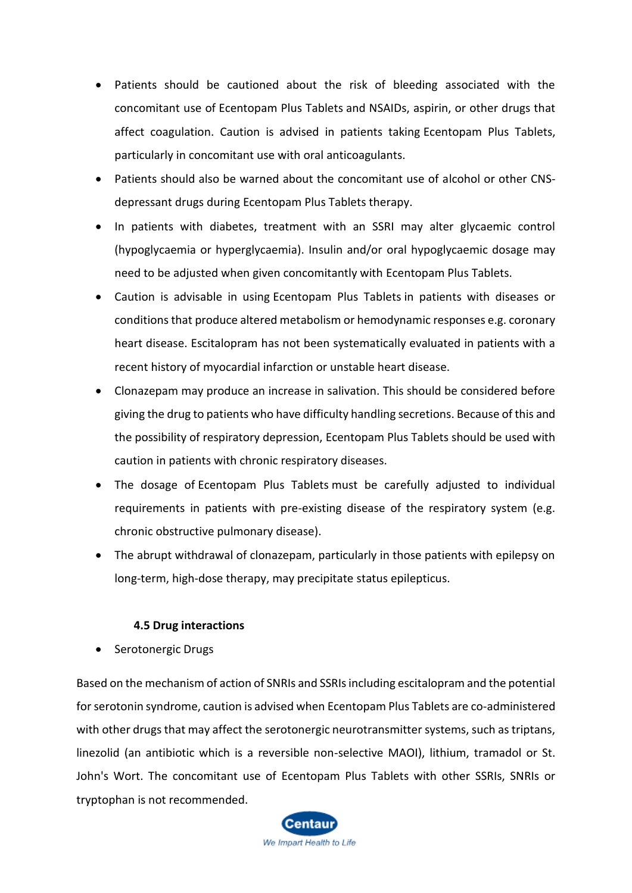- Patients should be cautioned about the risk of bleeding associated with the concomitant use of Ecentopam Plus Tablets and NSAIDs, aspirin, or other drugs that affect coagulation. Caution is advised in patients taking Ecentopam Plus Tablets, particularly in concomitant use with oral anticoagulants.
- Patients should also be warned about the concomitant use of alcohol or other CNSdepressant drugs during Ecentopam Plus Tablets therapy.
- In patients with diabetes, treatment with an SSRI may alter glycaemic control (hypoglycaemia or hyperglycaemia). Insulin and/or oral hypoglycaemic dosage may need to be adjusted when given concomitantly with Ecentopam Plus Tablets.
- Caution is advisable in using Ecentopam Plus Tablets in patients with diseases or conditions that produce altered metabolism or hemodynamic responses e.g. coronary heart disease. Escitalopram has not been systematically evaluated in patients with a recent history of myocardial infarction or unstable heart disease.
- Clonazepam may produce an increase in salivation. This should be considered before giving the drug to patients who have difficulty handling secretions. Because of this and the possibility of respiratory depression, Ecentopam Plus Tablets should be used with caution in patients with chronic respiratory diseases.
- The dosage of Ecentopam Plus Tablets must be carefully adjusted to individual requirements in patients with pre-existing disease of the respiratory system (e.g. chronic obstructive pulmonary disease).
- The abrupt withdrawal of clonazepam, particularly in those patients with epilepsy on long-term, high-dose therapy, may precipitate status epilepticus.

# **4.5 Drug interactions**

• Serotonergic Drugs

Based on the mechanism of action of SNRIs and SSRIs including escitalopram and the potential for serotonin syndrome, caution is advised when Ecentopam Plus Tablets are co-administered with other drugs that may affect the serotonergic neurotransmitter systems, such as triptans, linezolid (an antibiotic which is a reversible non-selective MAOI), lithium, tramadol or St. John's Wort. The concomitant use of Ecentopam Plus Tablets with other SSRIs, SNRIs or tryptophan is not recommended.

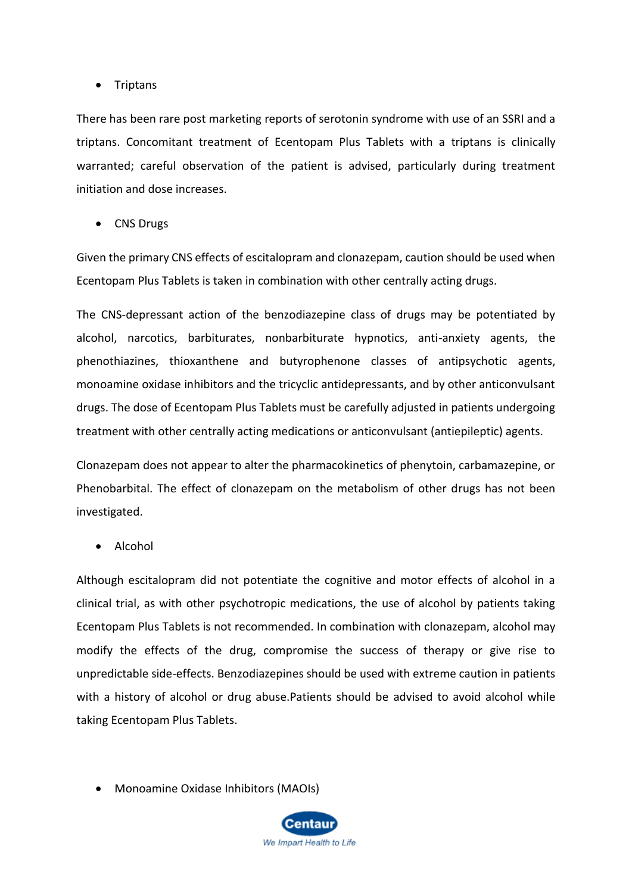# • Triptans

There has been rare post marketing reports of serotonin syndrome with use of an SSRI and a triptans. Concomitant treatment of Ecentopam Plus Tablets with a triptans is clinically warranted; careful observation of the patient is advised, particularly during treatment initiation and dose increases.

• CNS Drugs

Given the primary CNS effects of escitalopram and clonazepam, caution should be used when Ecentopam Plus Tablets is taken in combination with other centrally acting drugs.

The CNS-depressant action of the benzodiazepine class of drugs may be potentiated by alcohol, narcotics, barbiturates, nonbarbiturate hypnotics, anti-anxiety agents, the phenothiazines, thioxanthene and butyrophenone classes of antipsychotic agents, monoamine oxidase inhibitors and the tricyclic antidepressants, and by other anticonvulsant drugs. The dose of Ecentopam Plus Tablets must be carefully adjusted in patients undergoing treatment with other centrally acting medications or anticonvulsant (antiepileptic) agents.

Clonazepam does not appear to alter the pharmacokinetics of phenytoin, carbamazepine, or Phenobarbital. The effect of clonazepam on the metabolism of other drugs has not been investigated.

• Alcohol

Although escitalopram did not potentiate the cognitive and motor effects of alcohol in a clinical trial, as with other psychotropic medications, the use of alcohol by patients taking Ecentopam Plus Tablets is not recommended. In combination with clonazepam, alcohol may modify the effects of the drug, compromise the success of therapy or give rise to unpredictable side-effects. Benzodiazepines should be used with extreme caution in patients with a history of alcohol or drug abuse.Patients should be advised to avoid alcohol while taking Ecentopam Plus Tablets.

• Monoamine Oxidase Inhibitors (MAOIs)

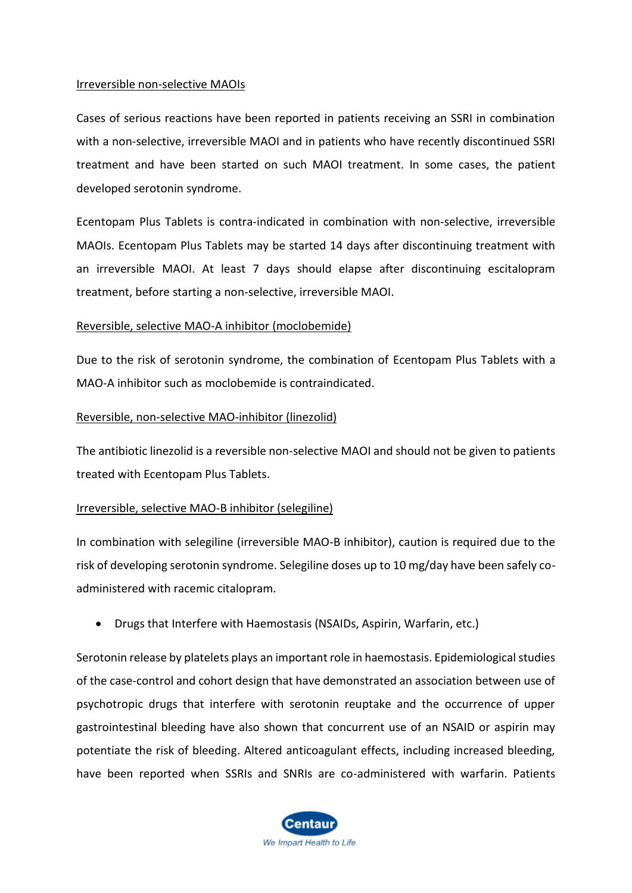### Irreversible non-selective MAOIs

Cases of serious reactions have been reported in patients receiving an SSRI in combination with a non-selective, irreversible MAOI and in patients who have recently discontinued SSRI treatment and have been started on such MAOI treatment. In some cases, the patient developed serotonin syndrome.

Ecentopam Plus Tablets is contra-indicated in combination with non-selective, irreversible MAOIs. Ecentopam Plus Tablets may be started 14 days after discontinuing treatment with an irreversible MAOI. At least 7 days should elapse after discontinuing escitalopram treatment, before starting a non-selective, irreversible MAOI.

# Reversible, selective MAO-A inhibitor (moclobemide)

Due to the risk of serotonin syndrome, the combination of Ecentopam Plus Tablets with a MAO-A inhibitor such as moclobemide is contraindicated.

# Reversible, non-selective MAO-inhibitor (linezolid)

The antibiotic linezolid is a reversible non-selective MAOI and should not be given to patients treated with Ecentopam Plus Tablets.

# Irreversible, selective MAO-B inhibitor (selegiline)

In combination with selegiline (irreversible MAO-B inhibitor), caution is required due to the risk of developing serotonin syndrome. Selegiline doses up to 10 mg/day have been safely coadministered with racemic citalopram.

• Drugs that Interfere with Haemostasis (NSAIDs, Aspirin, Warfarin, etc.)

Serotonin release by platelets plays an important role in haemostasis. Epidemiological studies of the case-control and cohort design that have demonstrated an association between use of psychotropic drugs that interfere with serotonin reuptake and the occurrence of upper gastrointestinal bleeding have also shown that concurrent use of an NSAID or aspirin may potentiate the risk of bleeding. Altered anticoagulant effects, including increased bleeding, have been reported when SSRIs and SNRIs are co-administered with warfarin. Patients

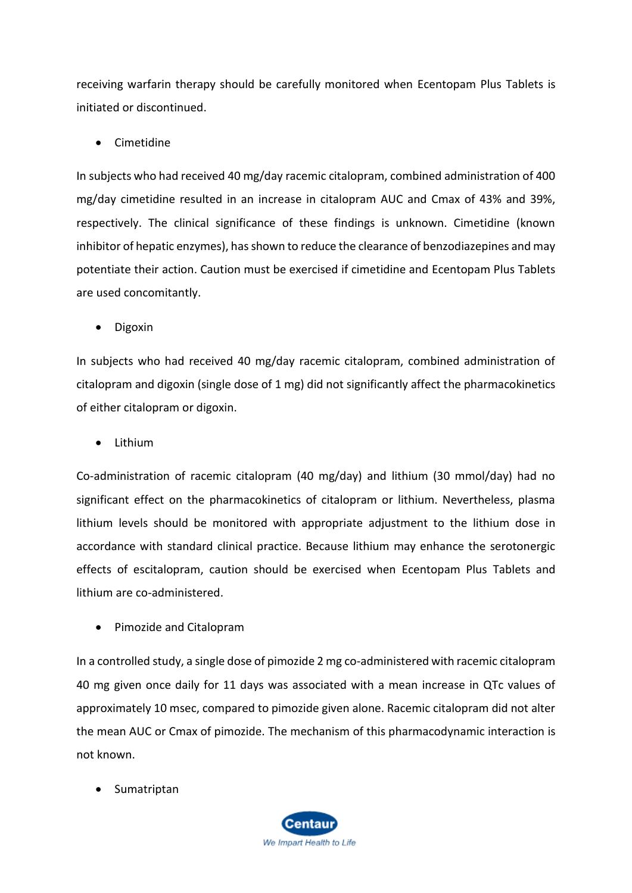receiving warfarin therapy should be carefully monitored when Ecentopam Plus Tablets is initiated or discontinued.

• Cimetidine

In subjects who had received 40 mg/day racemic citalopram, combined administration of 400 mg/day cimetidine resulted in an increase in citalopram AUC and Cmax of 43% and 39%, respectively. The clinical significance of these findings is unknown. Cimetidine (known inhibitor of hepatic enzymes), has shown to reduce the clearance of benzodiazepines and may potentiate their action. Caution must be exercised if cimetidine and Ecentopam Plus Tablets are used concomitantly.

• Digoxin

In subjects who had received 40 mg/day racemic citalopram, combined administration of citalopram and digoxin (single dose of 1 mg) did not significantly affect the pharmacokinetics of either citalopram or digoxin.

• Lithium

Co-administration of racemic citalopram (40 mg/day) and lithium (30 mmol/day) had no significant effect on the pharmacokinetics of citalopram or lithium. Nevertheless, plasma lithium levels should be monitored with appropriate adjustment to the lithium dose in accordance with standard clinical practice. Because lithium may enhance the serotonergic effects of escitalopram, caution should be exercised when Ecentopam Plus Tablets and lithium are co-administered.

• Pimozide and Citalopram

In a controlled study, a single dose of pimozide 2 mg co-administered with racemic citalopram 40 mg given once daily for 11 days was associated with a mean increase in QTc values of approximately 10 msec, compared to pimozide given alone. Racemic citalopram did not alter the mean AUC or Cmax of pimozide. The mechanism of this pharmacodynamic interaction is not known.

• Sumatriptan

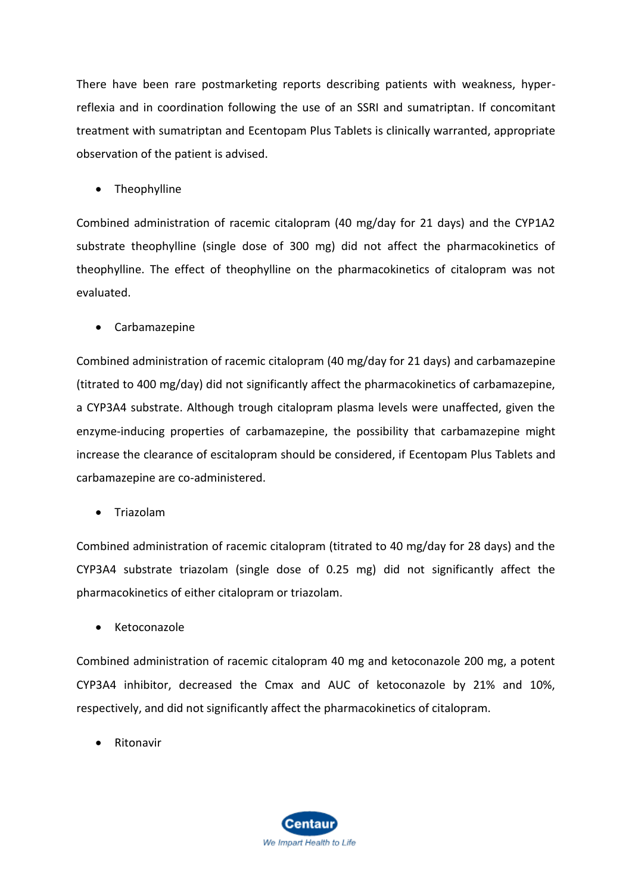There have been rare postmarketing reports describing patients with weakness, hyperreflexia and in coordination following the use of an SSRI and sumatriptan. If concomitant treatment with sumatriptan and Ecentopam Plus Tablets is clinically warranted, appropriate observation of the patient is advised.

• Theophylline

Combined administration of racemic citalopram (40 mg/day for 21 days) and the CYP1A2 substrate theophylline (single dose of 300 mg) did not affect the pharmacokinetics of theophylline. The effect of theophylline on the pharmacokinetics of citalopram was not evaluated.

• Carbamazepine

Combined administration of racemic citalopram (40 mg/day for 21 days) and carbamazepine (titrated to 400 mg/day) did not significantly affect the pharmacokinetics of carbamazepine, a CYP3A4 substrate. Although trough citalopram plasma levels were unaffected, given the enzyme-inducing properties of carbamazepine, the possibility that carbamazepine might increase the clearance of escitalopram should be considered, if Ecentopam Plus Tablets and carbamazepine are co-administered.

• Triazolam

Combined administration of racemic citalopram (titrated to 40 mg/day for 28 days) and the CYP3A4 substrate triazolam (single dose of 0.25 mg) did not significantly affect the pharmacokinetics of either citalopram or triazolam.

• Ketoconazole

Combined administration of racemic citalopram 40 mg and ketoconazole 200 mg, a potent CYP3A4 inhibitor, decreased the Cmax and AUC of ketoconazole by 21% and 10%, respectively, and did not significantly affect the pharmacokinetics of citalopram.

**Ritonavir** 

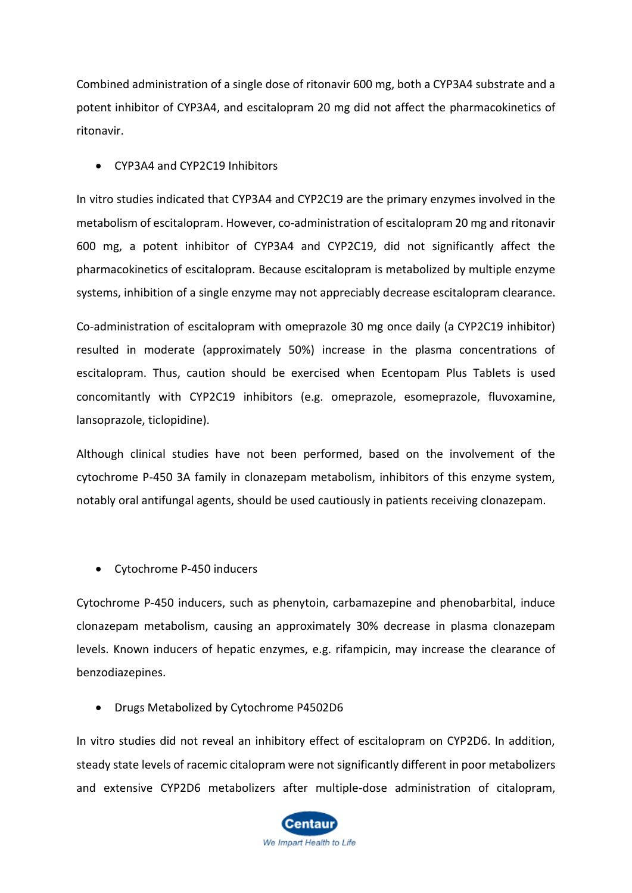Combined administration of a single dose of ritonavir 600 mg, both a CYP3A4 substrate and a potent inhibitor of CYP3A4, and escitalopram 20 mg did not affect the pharmacokinetics of ritonavir.

### • CYP3A4 and CYP2C19 Inhibitors

In vitro studies indicated that CYP3A4 and CYP2C19 are the primary enzymes involved in the metabolism of escitalopram. However, co-administration of escitalopram 20 mg and ritonavir 600 mg, a potent inhibitor of CYP3A4 and CYP2C19, did not significantly affect the pharmacokinetics of escitalopram. Because escitalopram is metabolized by multiple enzyme systems, inhibition of a single enzyme may not appreciably decrease escitalopram clearance.

Co-administration of escitalopram with omeprazole 30 mg once daily (a CYP2C19 inhibitor) resulted in moderate (approximately 50%) increase in the plasma concentrations of escitalopram. Thus, caution should be exercised when Ecentopam Plus Tablets is used concomitantly with CYP2C19 inhibitors (e.g. omeprazole, esomeprazole, fluvoxamine, lansoprazole, ticlopidine).

Although clinical studies have not been performed, based on the involvement of the cytochrome P-450 3A family in clonazepam metabolism, inhibitors of this enzyme system, notably oral antifungal agents, should be used cautiously in patients receiving clonazepam.

• Cytochrome P-450 inducers

Cytochrome P-450 inducers, such as phenytoin, carbamazepine and phenobarbital, induce clonazepam metabolism, causing an approximately 30% decrease in plasma clonazepam levels. Known inducers of hepatic enzymes, e.g. rifampicin, may increase the clearance of benzodiazepines.

• Drugs Metabolized by Cytochrome P4502D6

In vitro studies did not reveal an inhibitory effect of escitalopram on CYP2D6. In addition, steady state levels of racemic citalopram were not significantly different in poor metabolizers and extensive CYP2D6 metabolizers after multiple-dose administration of citalopram,

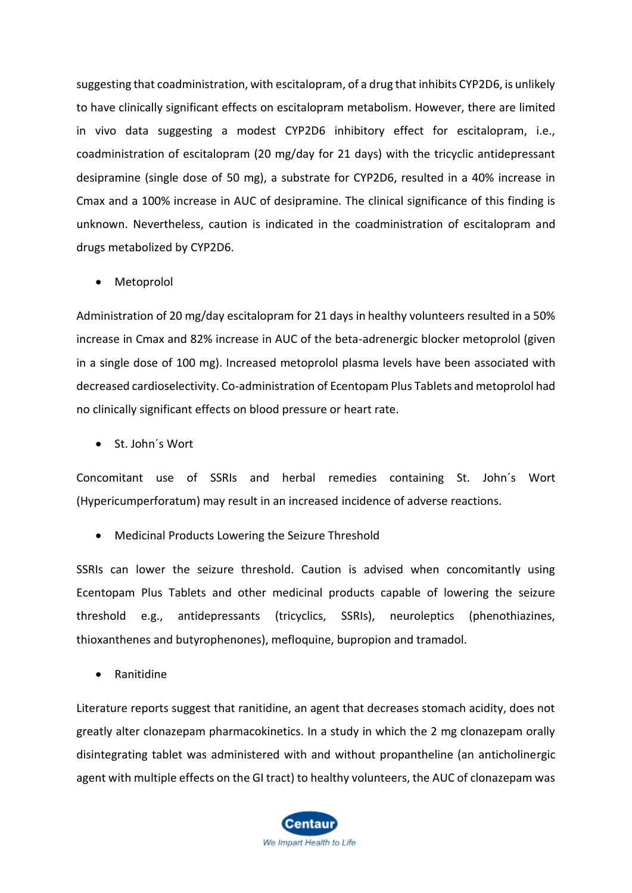suggesting that coadministration, with escitalopram, of a drug that inhibits CYP2D6, is unlikely to have clinically significant effects on escitalopram metabolism. However, there are limited in vivo data suggesting a modest CYP2D6 inhibitory effect for escitalopram, i.e., coadministration of escitalopram (20 mg/day for 21 days) with the tricyclic antidepressant desipramine (single dose of 50 mg), a substrate for CYP2D6, resulted in a 40% increase in Cmax and a 100% increase in AUC of desipramine. The clinical significance of this finding is unknown. Nevertheless, caution is indicated in the coadministration of escitalopram and drugs metabolized by CYP2D6.

• Metoprolol

Administration of 20 mg/day escitalopram for 21 days in healthy volunteers resulted in a 50% increase in Cmax and 82% increase in AUC of the beta-adrenergic blocker metoprolol (given in a single dose of 100 mg). Increased metoprolol plasma levels have been associated with decreased cardioselectivity. Co-administration of Ecentopam Plus Tablets and metoprolol had no clinically significant effects on blood pressure or heart rate.

• St. John´s Wort

Concomitant use of SSRIs and herbal remedies containing St. John´s Wort (Hypericumperforatum) may result in an increased incidence of adverse reactions.

• Medicinal Products Lowering the Seizure Threshold

SSRIs can lower the seizure threshold. Caution is advised when concomitantly using Ecentopam Plus Tablets and other medicinal products capable of lowering the seizure threshold e.g., antidepressants (tricyclics, SSRIs), neuroleptics (phenothiazines, thioxanthenes and butyrophenones), mefloquine, bupropion and tramadol.

• Ranitidine

Literature reports suggest that ranitidine, an agent that decreases stomach acidity, does not greatly alter clonazepam pharmacokinetics. In a study in which the 2 mg clonazepam orally disintegrating tablet was administered with and without propantheline (an anticholinergic agent with multiple effects on the GI tract) to healthy volunteers, the AUC of clonazepam was

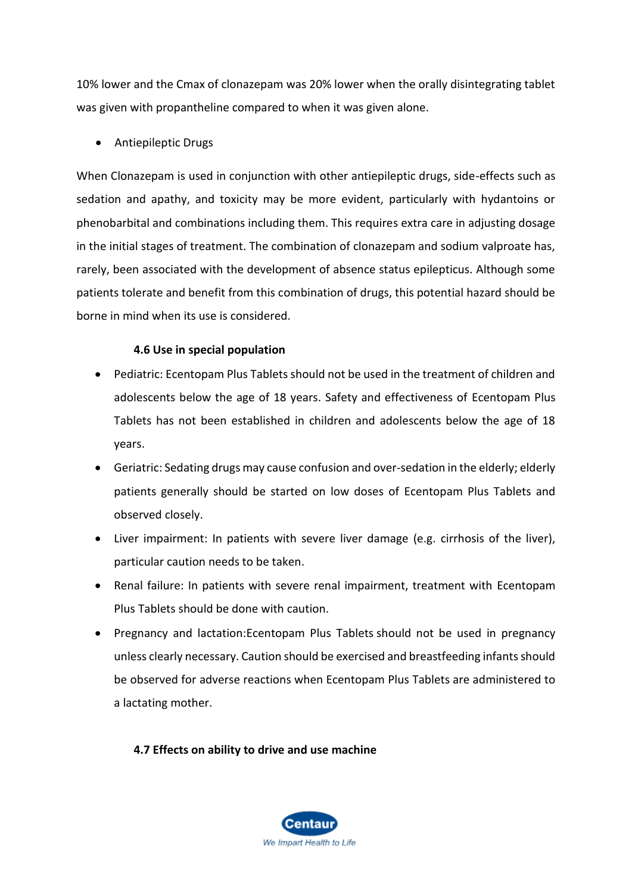10% lower and the Cmax of clonazepam was 20% lower when the orally disintegrating tablet was given with propantheline compared to when it was given alone.

• Antiepileptic Drugs

When Clonazepam is used in conjunction with other antiepileptic drugs, side-effects such as sedation and apathy, and toxicity may be more evident, particularly with hydantoins or phenobarbital and combinations including them. This requires extra care in adjusting dosage in the initial stages of treatment. The combination of clonazepam and sodium valproate has, rarely, been associated with the development of absence status epilepticus. Although some patients tolerate and benefit from this combination of drugs, this potential hazard should be borne in mind when its use is considered.

# **4.6 Use in special population**

- Pediatric: Ecentopam Plus Tablets should not be used in the treatment of children and adolescents below the age of 18 years. Safety and effectiveness of Ecentopam Plus Tablets has not been established in children and adolescents below the age of 18 years.
- Geriatric: Sedating drugs may cause confusion and over-sedation in the elderly; elderly patients generally should be started on low doses of Ecentopam Plus Tablets and observed closely.
- Liver impairment: In patients with severe liver damage (e.g. cirrhosis of the liver), particular caution needs to be taken.
- Renal failure: In patients with severe renal impairment, treatment with Ecentopam Plus Tablets should be done with caution.
- Pregnancy and lactation:Ecentopam Plus Tablets should not be used in pregnancy unless clearly necessary. Caution should be exercised and breastfeeding infants should be observed for adverse reactions when Ecentopam Plus Tablets are administered to a lactating mother.

**4.7 Effects on ability to drive and use machine**

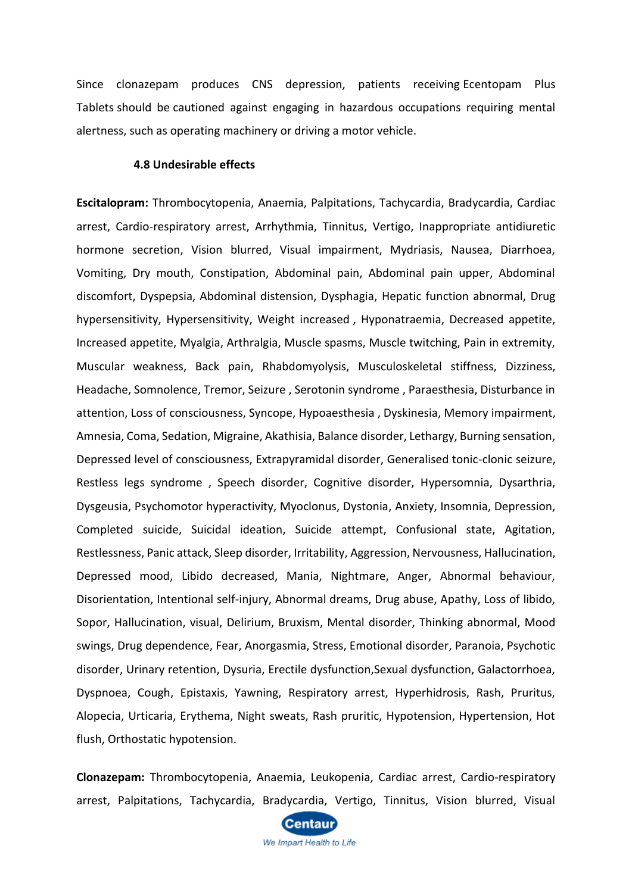Since clonazepam produces CNS depression, patients receiving Ecentopam Plus Tablets should be cautioned against engaging in hazardous occupations requiring mental alertness, such as operating machinery or driving a motor vehicle.

#### **4.8 Undesirable effects**

**Escitalopram:** Thrombocytopenia, Anaemia, Palpitations, Tachycardia, Bradycardia, Cardiac arrest, Cardio-respiratory arrest, Arrhythmia, Tinnitus, Vertigo, Inappropriate antidiuretic hormone secretion, Vision blurred, Visual impairment, Mydriasis, Nausea, Diarrhoea, Vomiting, Dry mouth, Constipation, Abdominal pain, Abdominal pain upper, Abdominal discomfort, Dyspepsia, Abdominal distension, Dysphagia, Hepatic function abnormal, Drug hypersensitivity, Hypersensitivity, Weight increased , Hyponatraemia, Decreased appetite, Increased appetite, Myalgia, Arthralgia, Muscle spasms, Muscle twitching, Pain in extremity, Muscular weakness, Back pain, Rhabdomyolysis, Musculoskeletal stiffness, Dizziness, Headache, Somnolence, Tremor, Seizure , Serotonin syndrome , Paraesthesia, Disturbance in attention, Loss of consciousness, Syncope, Hypoaesthesia , Dyskinesia, Memory impairment, Amnesia, Coma, Sedation, Migraine, Akathisia, Balance disorder, Lethargy, Burning sensation, Depressed level of consciousness, Extrapyramidal disorder, Generalised tonic-clonic seizure, Restless legs syndrome , Speech disorder, Cognitive disorder, Hypersomnia, Dysarthria, Dysgeusia, Psychomotor hyperactivity, Myoclonus, Dystonia, Anxiety, Insomnia, Depression, Completed suicide, Suicidal ideation, Suicide attempt, Confusional state, Agitation, Restlessness, Panic attack, Sleep disorder, Irritability, Aggression, Nervousness, Hallucination, Depressed mood, Libido decreased, Mania, Nightmare, Anger, Abnormal behaviour, Disorientation, Intentional self-injury, Abnormal dreams, Drug abuse, Apathy, Loss of libido, Sopor, Hallucination, visual, Delirium, Bruxism, Mental disorder, Thinking abnormal, Mood swings, Drug dependence, Fear, Anorgasmia, Stress, Emotional disorder, Paranoia, Psychotic disorder, Urinary retention, Dysuria, Erectile dysfunction,Sexual dysfunction, Galactorrhoea, Dyspnoea, Cough, Epistaxis, Yawning, Respiratory arrest, Hyperhidrosis, Rash, Pruritus, Alopecia, Urticaria, Erythema, Night sweats, Rash pruritic, Hypotension, Hypertension, Hot flush, Orthostatic hypotension.

**Clonazepam:** Thrombocytopenia, Anaemia, Leukopenia, Cardiac arrest, Cardio-respiratory arrest, Palpitations, Tachycardia, Bradycardia, Vertigo, Tinnitus, Vision blurred, Visual

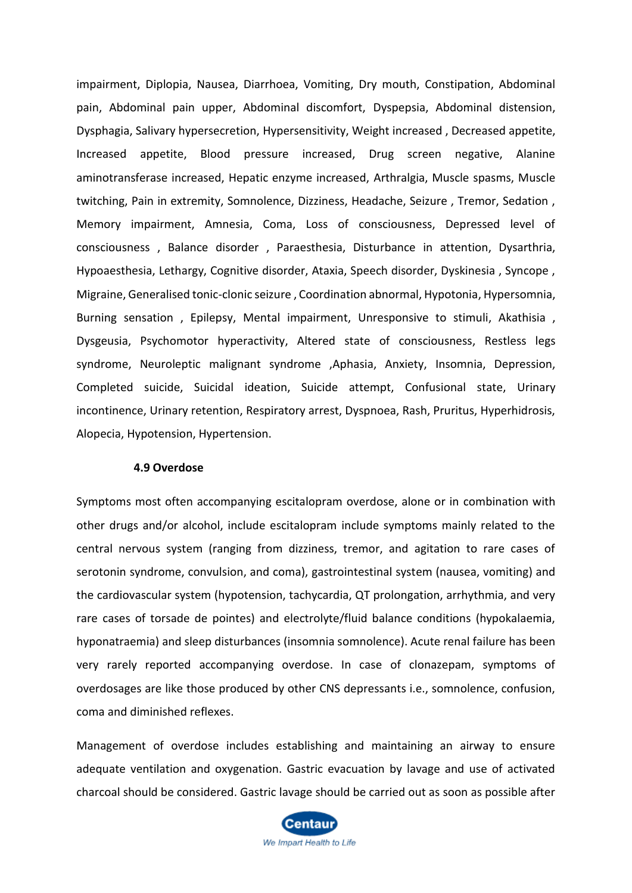impairment, Diplopia, Nausea, Diarrhoea, Vomiting, Dry mouth, Constipation, Abdominal pain, Abdominal pain upper, Abdominal discomfort, Dyspepsia, Abdominal distension, Dysphagia, Salivary hypersecretion, Hypersensitivity, Weight increased , Decreased appetite, Increased appetite, Blood pressure increased, Drug screen negative, Alanine aminotransferase increased, Hepatic enzyme increased, Arthralgia, Muscle spasms, Muscle twitching, Pain in extremity, Somnolence, Dizziness, Headache, Seizure , Tremor, Sedation , Memory impairment, Amnesia, Coma, Loss of consciousness, Depressed level of consciousness , Balance disorder , Paraesthesia, Disturbance in attention, Dysarthria, Hypoaesthesia, Lethargy, Cognitive disorder, Ataxia, Speech disorder, Dyskinesia , Syncope , Migraine, Generalised tonic-clonic seizure , Coordination abnormal, Hypotonia, Hypersomnia, Burning sensation, Epilepsy, Mental impairment, Unresponsive to stimuli, Akathisia, Dysgeusia, Psychomotor hyperactivity, Altered state of consciousness, Restless legs syndrome, Neuroleptic malignant syndrome ,Aphasia, Anxiety, Insomnia, Depression, Completed suicide, Suicidal ideation, Suicide attempt, Confusional state, Urinary incontinence, Urinary retention, Respiratory arrest, Dyspnoea, Rash, Pruritus, Hyperhidrosis, Alopecia, Hypotension, Hypertension.

#### **4.9 Overdose**

Symptoms most often accompanying escitalopram overdose, alone or in combination with other drugs and/or alcohol, include escitalopram include symptoms mainly related to the central nervous system (ranging from dizziness, tremor, and agitation to rare cases of serotonin syndrome, convulsion, and coma), gastrointestinal system (nausea, vomiting) and the cardiovascular system (hypotension, tachycardia, QT prolongation, arrhythmia, and very rare cases of torsade de pointes) and electrolyte/fluid balance conditions (hypokalaemia, hyponatraemia) and sleep disturbances (insomnia somnolence). Acute renal failure has been very rarely reported accompanying overdose. In case of clonazepam, symptoms of overdosages are like those produced by other CNS depressants i.e., somnolence, confusion, coma and diminished reflexes.

Management of overdose includes establishing and maintaining an airway to ensure adequate ventilation and oxygenation. Gastric evacuation by lavage and use of activated charcoal should be considered. Gastric lavage should be carried out as soon as possible after

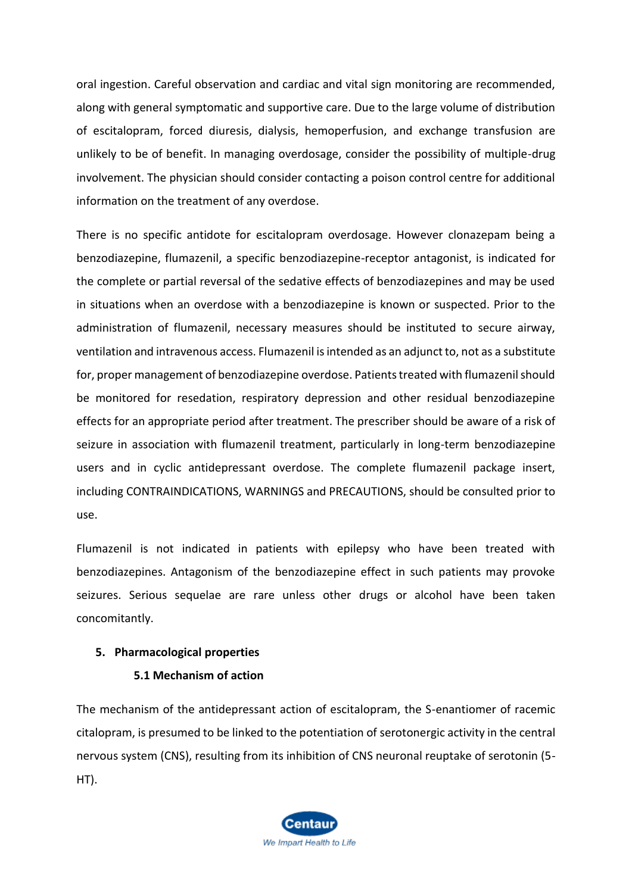oral ingestion. Careful observation and cardiac and vital sign monitoring are recommended, along with general symptomatic and supportive care. Due to the large volume of distribution of escitalopram, forced diuresis, dialysis, hemoperfusion, and exchange transfusion are unlikely to be of benefit. In managing overdosage, consider the possibility of multiple-drug involvement. The physician should consider contacting a poison control centre for additional information on the treatment of any overdose.

There is no specific antidote for escitalopram overdosage. However clonazepam being a benzodiazepine, flumazenil, a specific benzodiazepine-receptor antagonist, is indicated for the complete or partial reversal of the sedative effects of benzodiazepines and may be used in situations when an overdose with a benzodiazepine is known or suspected. Prior to the administration of flumazenil, necessary measures should be instituted to secure airway, ventilation and intravenous access. Flumazenil is intended as an adjunct to, not as a substitute for, proper management of benzodiazepine overdose. Patients treated with flumazenil should be monitored for resedation, respiratory depression and other residual benzodiazepine effects for an appropriate period after treatment. The prescriber should be aware of a risk of seizure in association with flumazenil treatment, particularly in long-term benzodiazepine users and in cyclic antidepressant overdose. The complete flumazenil package insert, including CONTRAINDICATIONS, WARNINGS and PRECAUTIONS, should be consulted prior to use.

Flumazenil is not indicated in patients with epilepsy who have been treated with benzodiazepines. Antagonism of the benzodiazepine effect in such patients may provoke seizures. Serious sequelae are rare unless other drugs or alcohol have been taken concomitantly.

# **5. Pharmacological properties**

# **5.1 Mechanism of action**

The mechanism of the antidepressant action of escitalopram, the S-enantiomer of racemic citalopram, is presumed to be linked to the potentiation of serotonergic activity in the central nervous system (CNS), resulting from its inhibition of CNS neuronal reuptake of serotonin (5- HT).

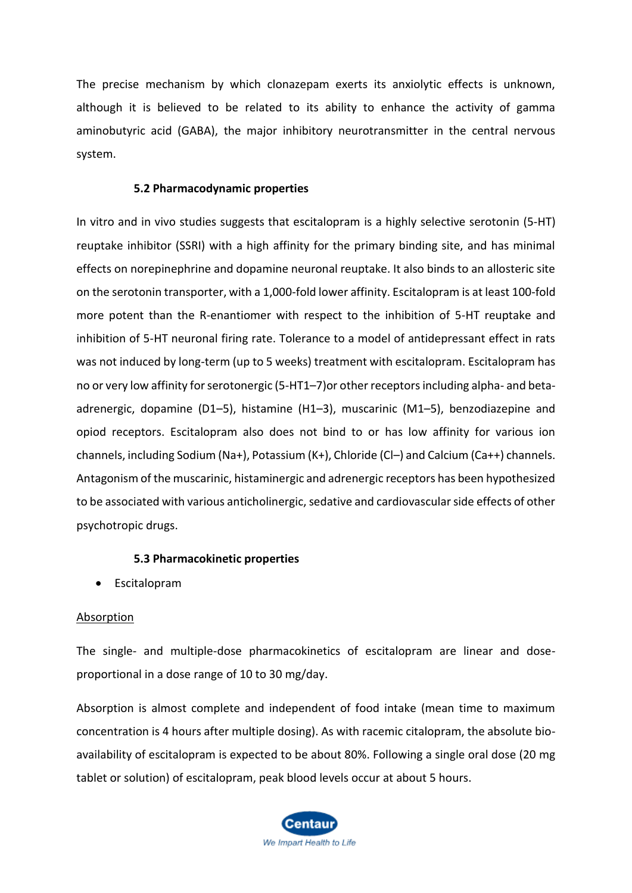The precise mechanism by which clonazepam exerts its anxiolytic effects is unknown, although it is believed to be related to its ability to enhance the activity of gamma aminobutyric acid (GABA), the major inhibitory neurotransmitter in the central nervous system.

#### **5.2 Pharmacodynamic properties**

In vitro and in vivo studies suggests that escitalopram is a highly selective serotonin (5-HT) reuptake inhibitor (SSRI) with a high affinity for the primary binding site, and has minimal effects on norepinephrine and dopamine neuronal reuptake. It also binds to an allosteric site on the serotonin transporter, with a 1,000-fold lower affinity. Escitalopram is at least 100-fold more potent than the R-enantiomer with respect to the inhibition of 5-HT reuptake and inhibition of 5-HT neuronal firing rate. Tolerance to a model of antidepressant effect in rats was not induced by long-term (up to 5 weeks) treatment with escitalopram. Escitalopram has no or very low affinity for serotonergic (5-HT1–7)or other receptors including alpha- and betaadrenergic, dopamine (D1–5), histamine (H1–3), muscarinic (M1–5), benzodiazepine and opiod receptors. Escitalopram also does not bind to or has low affinity for various ion channels, including Sodium (Na+), Potassium (K+), Chloride (Cl–) and Calcium (Ca++) channels. Antagonism of the muscarinic, histaminergic and adrenergic receptors has been hypothesized to be associated with various anticholinergic, sedative and cardiovascular side effects of other psychotropic drugs.

#### **5.3 Pharmacokinetic properties**

• Escitalopram

#### Absorption

The single- and multiple-dose pharmacokinetics of escitalopram are linear and doseproportional in a dose range of 10 to 30 mg/day.

Absorption is almost complete and independent of food intake (mean time to maximum concentration is 4 hours after multiple dosing). As with racemic citalopram, the absolute bioavailability of escitalopram is expected to be about 80%. Following a single oral dose (20 mg tablet or solution) of escitalopram, peak blood levels occur at about 5 hours.

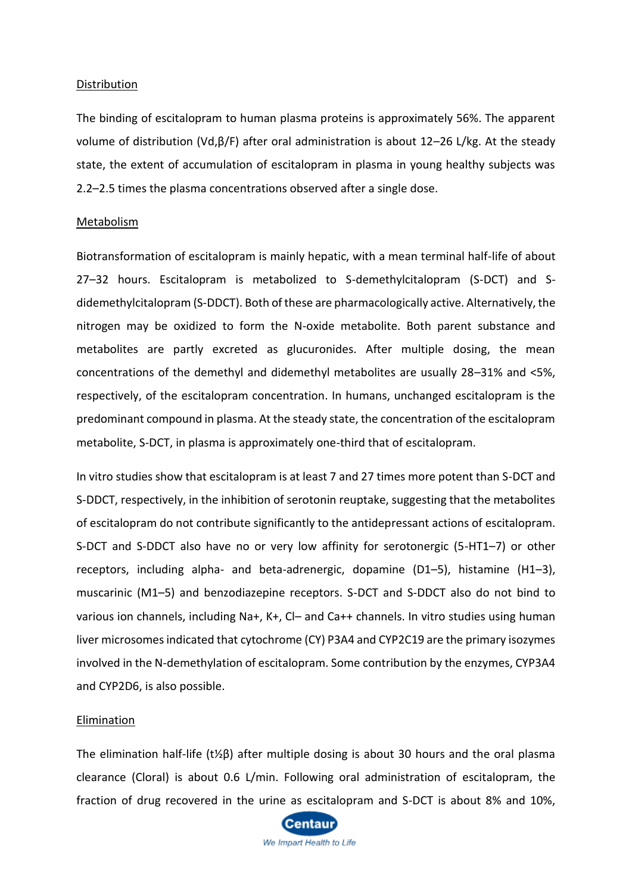#### Distribution

The binding of escitalopram to human plasma proteins is approximately 56%. The apparent volume of distribution (Vd,β/F) after oral administration is about 12–26 L/kg. At the steady state, the extent of accumulation of escitalopram in plasma in young healthy subjects was 2.2–2.5 times the plasma concentrations observed after a single dose.

#### Metabolism

Biotransformation of escitalopram is mainly hepatic, with a mean terminal half-life of about 27–32 hours. Escitalopram is metabolized to S-demethylcitalopram (S-DCT) and Sdidemethylcitalopram (S-DDCT). Both of these are pharmacologically active. Alternatively, the nitrogen may be oxidized to form the N-oxide metabolite. Both parent substance and metabolites are partly excreted as glucuronides. After multiple dosing, the mean concentrations of the demethyl and didemethyl metabolites are usually 28–31% and <5%, respectively, of the escitalopram concentration. In humans, unchanged escitalopram is the predominant compound in plasma. At the steady state, the concentration of the escitalopram metabolite, S-DCT, in plasma is approximately one-third that of escitalopram.

In vitro studies show that escitalopram is at least 7 and 27 times more potent than S-DCT and S-DDCT, respectively, in the inhibition of serotonin reuptake, suggesting that the metabolites of escitalopram do not contribute significantly to the antidepressant actions of escitalopram. S-DCT and S-DDCT also have no or very low affinity for serotonergic (5-HT1–7) or other receptors, including alpha- and beta-adrenergic, dopamine (D1–5), histamine (H1–3), muscarinic (M1–5) and benzodiazepine receptors. S-DCT and S-DDCT also do not bind to various ion channels, including Na+, K+, Cl– and Ca++ channels. In vitro studies using human liver microsomes indicated that cytochrome (CY) P3A4 and CYP2C19 are the primary isozymes involved in the N-demethylation of escitalopram. Some contribution by the enzymes, CYP3A4 and CYP2D6, is also possible.

#### Elimination

The elimination half-life (t½β) after multiple dosing is about 30 hours and the oral plasma clearance (Cloral) is about 0.6 L/min. Following oral administration of escitalopram, the fraction of drug recovered in the urine as escitalopram and S-DCT is about 8% and 10%,

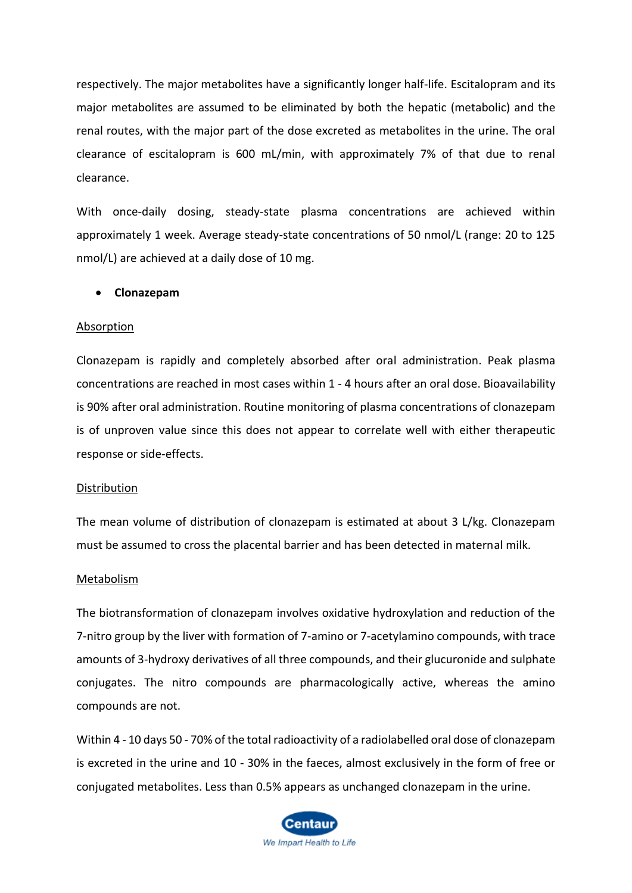respectively. The major metabolites have a significantly longer half-life. Escitalopram and its major metabolites are assumed to be eliminated by both the hepatic (metabolic) and the renal routes, with the major part of the dose excreted as metabolites in the urine. The oral clearance of escitalopram is 600 mL/min, with approximately 7% of that due to renal clearance.

With once-daily dosing, steady-state plasma concentrations are achieved within approximately 1 week. Average steady-state concentrations of 50 nmol/L (range: 20 to 125 nmol/L) are achieved at a daily dose of 10 mg.

#### • **Clonazepam**

#### Absorption

Clonazepam is rapidly and completely absorbed after oral administration. Peak plasma concentrations are reached in most cases within 1 - 4 hours after an oral dose. Bioavailability is 90% after oral administration. Routine monitoring of plasma concentrations of clonazepam is of unproven value since this does not appear to correlate well with either therapeutic response or side-effects.

#### Distribution

The mean volume of distribution of clonazepam is estimated at about 3 L/kg. Clonazepam must be assumed to cross the placental barrier and has been detected in maternal milk.

#### Metabolism

The biotransformation of clonazepam involves oxidative hydroxylation and reduction of the 7-nitro group by the liver with formation of 7-amino or 7-acetylamino compounds, with trace amounts of 3-hydroxy derivatives of all three compounds, and their glucuronide and sulphate conjugates. The nitro compounds are pharmacologically active, whereas the amino compounds are not.

Within 4 - 10 days 50 - 70% of the total radioactivity of a radiolabelled oral dose of clonazepam is excreted in the urine and 10 - 30% in the faeces, almost exclusively in the form of free or conjugated metabolites. Less than 0.5% appears as unchanged clonazepam in the urine.

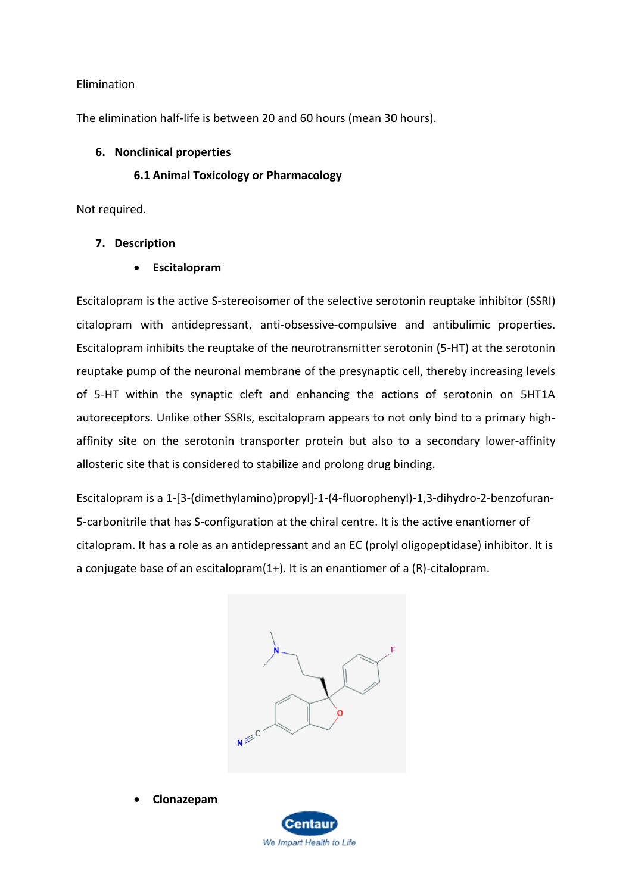# Elimination

The elimination half-life is between 20 and 60 hours (mean 30 hours).

# **6. Nonclinical properties**

# **6.1 Animal Toxicology or Pharmacology**

Not required.

# **7. Description**

• **Escitalopram**

Escitalopram is the active S-stereoisomer of the selective serotonin reuptake inhibitor (SSRI) citalopram with antidepressant, anti-obsessive-compulsive and antibulimic properties. Escitalopram inhibits the reuptake of the neurotransmitter serotonin (5-HT) at the serotonin reuptake pump of the neuronal membrane of the presynaptic cell, thereby increasing levels of 5-HT within the synaptic cleft and enhancing the actions of serotonin on 5HT1A autoreceptors. Unlike other SSRIs, escitalopram appears to not only bind to a primary highaffinity site on the serotonin transporter protein but also to a secondary lower-affinity allosteric site that is considered to stabilize and prolong drug binding.

Escitalopram is a 1-[3-(dimethylamino)propyl]-1-(4-fluorophenyl)-1,3-dihydro-2-benzofuran-5-carbonitrile that has S-configuration at the chiral centre. It is the active enantiomer of citalopram. It has a role as an antidepressant and an EC (prolyl oligopeptidase) inhibitor. It is a conjugate base of an escitalopram(1+). It is an enantiomer of a (R)-citalopram.



• **Clonazepam**

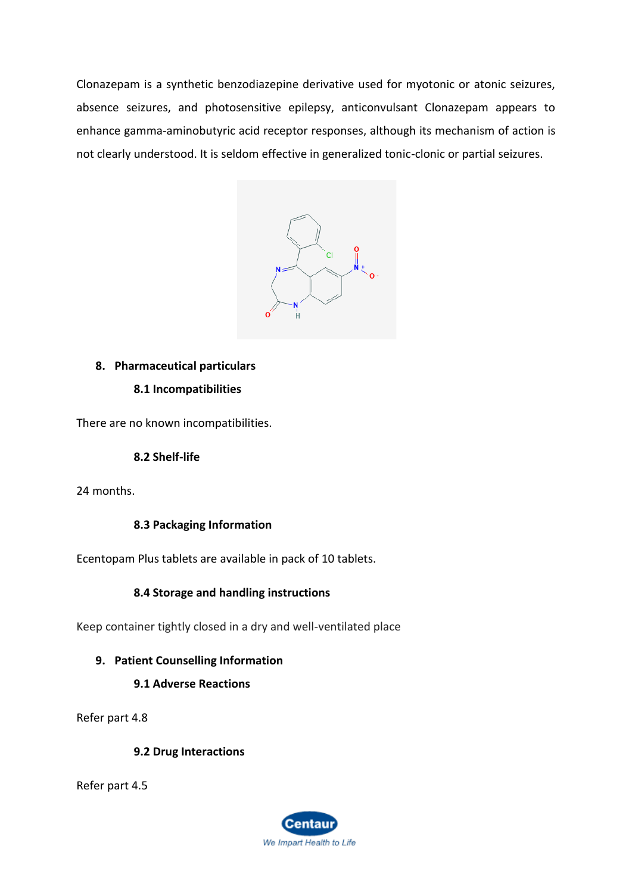Clonazepam is a synthetic benzodiazepine derivative used for myotonic or atonic seizures, absence seizures, and photosensitive epilepsy, anticonvulsant Clonazepam appears to enhance gamma-aminobutyric acid receptor responses, although its mechanism of action is not clearly understood. It is seldom effective in generalized tonic-clonic or partial seizures.



# **8. Pharmaceutical particulars**

# **8.1 Incompatibilities**

There are no known incompatibilities.

# **8.2 Shelf-life**

24 months.

# **8.3 Packaging Information**

Ecentopam Plus tablets are available in pack of 10 tablets.

# **8.4 Storage and handling instructions**

Keep container tightly closed in a dry and well-ventilated place

# **9. Patient Counselling Information**

# **9.1 Adverse Reactions**

Refer part 4.8

# **9.2 Drug Interactions**

Refer part 4.5